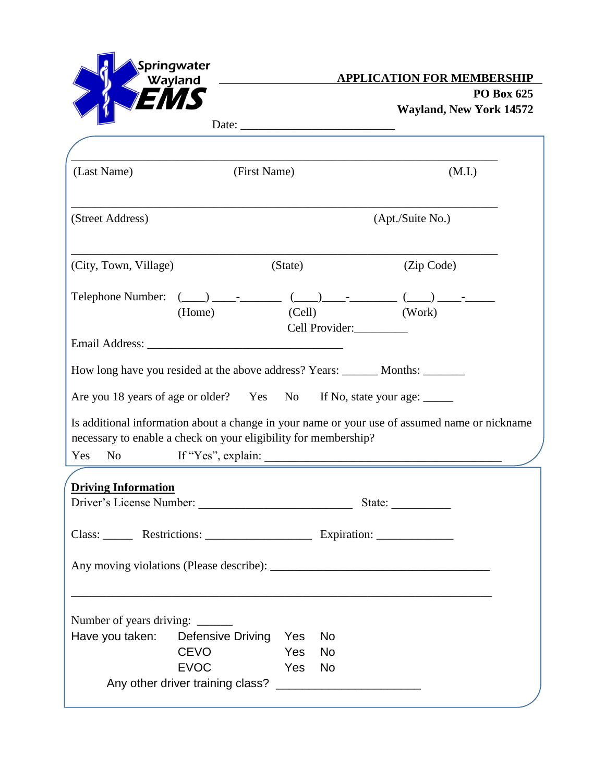

**PO Box 625 Wayland, New York 14572** 

٦

| Date: |  |
|-------|--|
|       |  |

| (Last Name)                                                                                                                                                             | (First Name)               |                   |                        |                  | (M.I.) |
|-------------------------------------------------------------------------------------------------------------------------------------------------------------------------|----------------------------|-------------------|------------------------|------------------|--------|
| (Street Address)                                                                                                                                                        |                            |                   |                        | (Apt./Suite No.) |        |
| (City, Town, Village)                                                                                                                                                   |                            | (State)           |                        | (Zip Code)       |        |
|                                                                                                                                                                         | (Home)                     |                   | Cell Provider:         | (Cell) (Work)    |        |
|                                                                                                                                                                         |                            |                   |                        |                  |        |
| How long have you resided at the above address? Years: ________ Months: ________                                                                                        |                            |                   |                        |                  |        |
|                                                                                                                                                                         |                            |                   |                        |                  |        |
| Are you 18 years of age or older? Yes No If No, state your age:                                                                                                         |                            |                   |                        |                  |        |
| Is additional information about a change in your name or your use of assumed name or nickname<br>necessary to enable a check on your eligibility for membership?<br>Yes |                            |                   |                        |                  |        |
|                                                                                                                                                                         |                            |                   |                        |                  |        |
| <b>Driving Information</b>                                                                                                                                              |                            |                   |                        | State:           |        |
| Class: ________ Restrictions: _______________________ Expiration: ______________                                                                                        |                            |                   |                        |                  |        |
|                                                                                                                                                                         |                            |                   |                        |                  |        |
|                                                                                                                                                                         |                            |                   |                        |                  |        |
| Number of years driving:                                                                                                                                                |                            |                   |                        |                  |        |
| Have you taken:                                                                                                                                                         | <b>Defensive Driving</b>   | Yes               | <b>No</b>              |                  |        |
|                                                                                                                                                                         | <b>CEVO</b><br><b>EVOC</b> | <b>Yes</b><br>Yes | <b>No</b><br><b>No</b> |                  |        |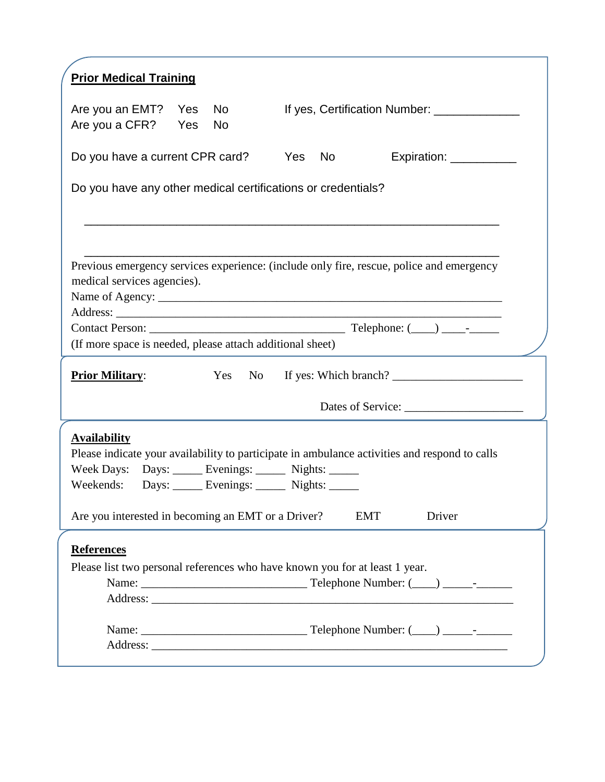| <b>Prior Medical Training</b>                                                                                |                  |                                                                                               |
|--------------------------------------------------------------------------------------------------------------|------------------|-----------------------------------------------------------------------------------------------|
| Are you an EMT? Yes<br>Are you a CFR? Yes                                                                    | No.<br><b>No</b> | If yes, Certification Number: _____________                                                   |
| Do you have a current CPR card? Yes No                                                                       |                  | Expiration: ____________                                                                      |
| Do you have any other medical certifications or credentials?                                                 |                  |                                                                                               |
|                                                                                                              |                  |                                                                                               |
|                                                                                                              |                  |                                                                                               |
| medical services agencies).                                                                                  |                  | Previous emergency services experience: (include only fire, rescue, police and emergency      |
|                                                                                                              |                  |                                                                                               |
|                                                                                                              |                  |                                                                                               |
|                                                                                                              |                  |                                                                                               |
| (If more space is needed, please attach additional sheet)                                                    |                  |                                                                                               |
| <b>Prior Military:</b>                                                                                       |                  |                                                                                               |
|                                                                                                              |                  | Yes No If yes: Which branch?                                                                  |
| <b>Availability</b><br>Week Days: Days: _____ Evenings: _____ Nights: _____                                  |                  | Please indicate your availability to participate in ambulance activities and respond to calls |
| Weekends: Days: ______ Evenings: ______ Nights: ______<br>Are you interested in becoming an EMT or a Driver? |                  | Driver<br><b>EMT</b>                                                                          |
| <b>References</b>                                                                                            |                  |                                                                                               |
| Please list two personal references who have known you for at least 1 year.                                  |                  |                                                                                               |
|                                                                                                              |                  |                                                                                               |
|                                                                                                              |                  |                                                                                               |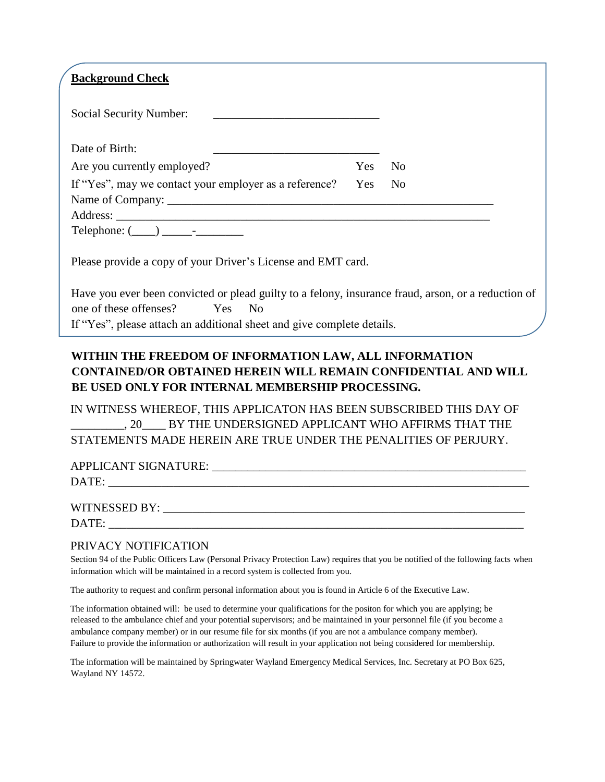| <b>Background Check</b>                                                                                                                                                             |        |  |
|-------------------------------------------------------------------------------------------------------------------------------------------------------------------------------------|--------|--|
| Social Security Number:                                                                                                                                                             |        |  |
| Date of Birth:                                                                                                                                                                      |        |  |
| Are you currently employed?                                                                                                                                                         | Yes No |  |
| If "Yes", may we contact your employer as a reference?                                                                                                                              | Yes No |  |
|                                                                                                                                                                                     |        |  |
|                                                                                                                                                                                     |        |  |
| $Telephone: (\_\_) \_\_\_$                                                                                                                                                          |        |  |
| Please provide a copy of your Driver's License and EMT card.                                                                                                                        |        |  |
| Have you ever been convicted or plead guilty to a felony, insurance fraud, arson, or a reduction of<br>one of these offenses?<br>Yes No                                             |        |  |
| If "Yes", please attach an additional sheet and give complete details.                                                                                                              |        |  |
| WITHIN THE FREEDOM OF INFORMATION LAW, ALL INFORMATION<br><b>CONTAINED/OR OBTAINED HEREIN WILL REMAIN CONFIDENTIAL AND WILL</b><br>BE USED ONLY FOR INTERNAL MEMBERSHIP PROCESSING. |        |  |
| I WITOHO WILLEREAR TOUR LADD JO LOAD JULA REEVALUR CORRESPONDED TO LAV AR                                                                                                           |        |  |

IN WITNESS WHEREOF, THIS APPLICATON HAS BEEN SUBSCRIBED THIS DAY OF \_\_\_\_\_\_\_\_\_, 20\_\_\_\_ BY THE UNDERSIGNED APPLICANT WHO AFFIRMS THAT THE STATEMENTS MADE HEREIN ARE TRUE UNDER THE PENALITIES OF PERJURY.

| APPLICANT SIGNATURE: |  |
|----------------------|--|
| DATE:                |  |
|                      |  |
| WITNESSED BY:        |  |
| DATE:                |  |

## PRIVACY NOTIFICATION

Section 94 of the Public Officers Law (Personal Privacy Protection Law) requires that you be notified of the following facts when information which will be maintained in a record system is collected from you.

The authority to request and confirm personal information about you is found in Article 6 of the Executive Law.

The information obtained will: be used to determine your qualifications for the positon for which you are applying; be released to the ambulance chief and your potential supervisors; and be maintained in your personnel file (if you become a ambulance company member) or in our resume file for six months (if you are not a ambulance company member). Failure to provide the information or authorization will result in your application not being considered for membership.

The information will be maintained by Springwater Wayland Emergency Medical Services, Inc. Secretary at PO Box 625, Wayland NY 14572.